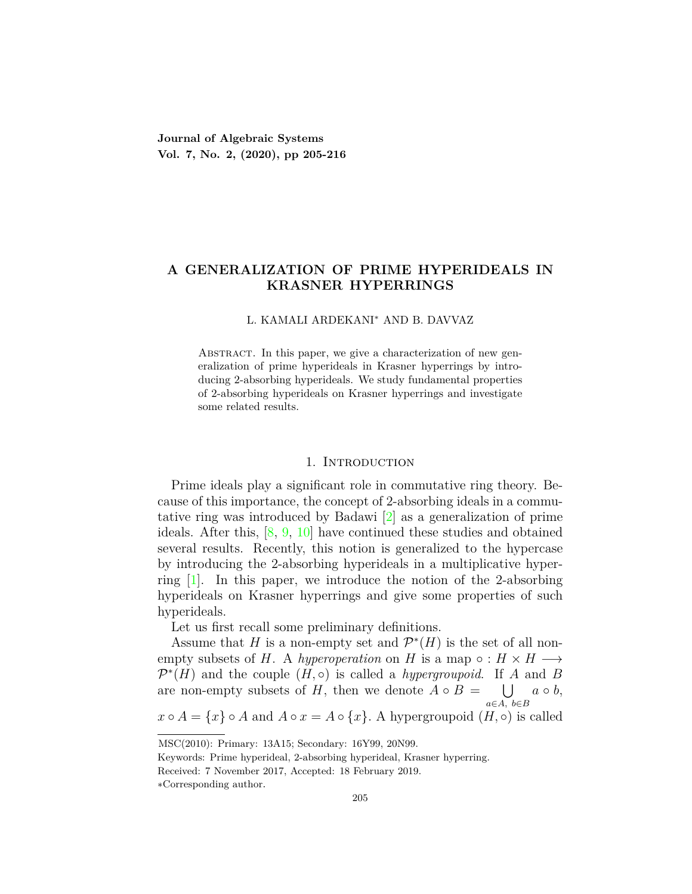## **A GENERALIZATION OF PRIME HYPERIDEALS IN KRASNER HYPERRINGS**

#### L. KAMALI ARDEKANI*<sup>∗</sup>* AND B. DAVVAZ

ABSTRACT. In this paper, we give a characterization of new generalization of prime hyperideals in Krasner hyperrings by introducing 2-absorbing hyperideals. We study fundamental properties of 2-absorbing hyperideals on Krasner hyperrings and investigate some related results.

### 1. INTRODUCTION

Prime ideals play a significant role in commutative ring theory. Because of this importance, the concept of 2-absorbing ideals in a commutative ring was introduced by Badawi [[2](#page-10-0)] as a generalization of prime ideals. After this, [[8](#page-11-0), [9,](#page-11-1) [10](#page-11-2)] have continued these studies and obtained several results. Recently, this notion is generalized to the hypercase by introducing the 2-absorbing hyperideals in a multiplicative hyperring  $[1]$ . In this paper, we introduce the notion of the 2-absorbing hyperideals on Krasner hyperrings and give some properties of such hyperideals.

Let us first recall some preliminary definitions.

Assume that *H* is a non-empty set and  $\mathcal{P}^*(H)$  is the set of all nonempty subsets of *H*. A *hyperoperation* on *H* is a map  $\circ : H \times H \longrightarrow$  $\mathcal{P}^*(H)$  and the couple  $(H, \circ)$  is called a *hypergroupoid*. If *A* and *B* are non-empty subsets of *H*, then we denote  $A \circ B = \bigcup a \circ b$ , *a∈A, b∈B x*  $\circ$  *A* = {*x*}  $\circ$  *A* and *A*  $\circ$  *x* = *A*  $\circ$  {*x*}. A hypergroupoid (*H*, $\circ$ ) is called

MSC(2010): Primary: 13A15; Secondary: 16Y99, 20N99.

Keywords: Prime hyperideal, 2-absorbing hyperideal, Krasner hyperring.

Received: 7 November 2017, Accepted: 18 February 2019.

*<sup>∗</sup>*Corresponding author.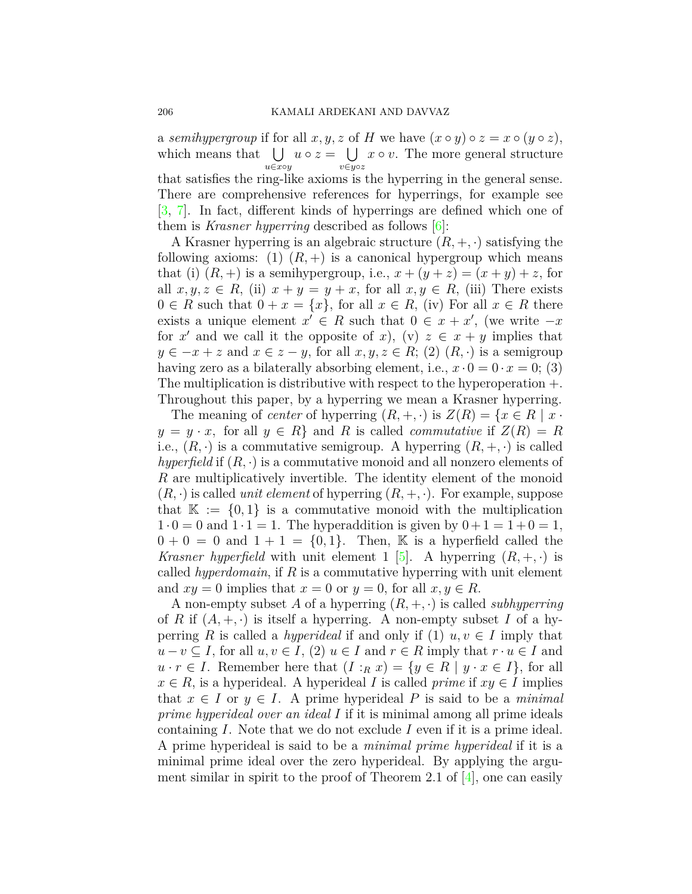a *semihypergroup* if for all  $x, y, z$  of  $H$  we have  $(x \circ y) \circ z = x \circ (y \circ z)$ , which means that  $\bigcup u \circ z = \bigcup x \circ v$ . The more general structure *u∈x◦y v∈y◦z* that satisfies the ring-like axioms is the hyperring in the general sense. There are comprehensive references for hyperrings, for example see [[3,](#page-10-2) [7](#page-11-3)]. In fact, different kinds of hyperrings are defined which one of them is *Krasner hyperring* described as follows  $|6|$ :

A Krasner hyperring is an algebraic structure  $(R, +, \cdot)$  satisfying the following axioms: (1)  $(R,+)$  is a canonical hypergroup which means that (i)  $(R,+)$  is a semihypergroup, i.e.,  $x + (y + z) = (x + y) + z$ , for all  $x, y, z \in R$ , (ii)  $x + y = y + x$ , for all  $x, y \in R$ , (iii) There exists  $0 \in R$  such that  $0 + x = \{x\}$ , for all  $x \in R$ , (iv) For all  $x \in R$  there exists a unique element  $x' \in R$  such that  $0 \in x + x'$ , (we write  $-x$ for  $x'$  and we call it the opposite of  $x$ ), (v)  $z \in x + y$  implies that *y* ∈  $-x + z$  and  $x \in z - y$ , for all  $x, y, z \in R$ ; (2)  $(R, \cdot)$  is a semigroup having zero as a bilaterally absorbing element, i.e.,  $x \cdot 0 = 0 \cdot x = 0$ ; (3) The multiplication is distributive with respect to the hyperoperation +. Throughout this paper, by a hyperring we mean a Krasner hyperring.

The meaning of *center* of hyperring  $(R, +, \cdot)$  is  $Z(R) = \{x \in R \mid x \cdot$  $y = y \cdot x$ , for all  $y \in R$ *}* and *R* is called *commutative* if  $Z(R) = R$ i.e.,  $(R, \cdot)$  is a commutative semigroup. A hyperring  $(R, +, \cdot)$  is called *hyperfield* if (*R, ·*) is a commutative monoid and all nonzero elements of *R* are multiplicatively invertible. The identity element of the monoid  $(R, \cdot)$  is called *unit element* of hyperring  $(R, +, \cdot)$ . For example, suppose that  $\mathbb{K} := \{0,1\}$  is a commutative monoid with the multiplication  $1 \cdot 0 = 0$  and  $1 \cdot 1 = 1$ . The hyperaddition is given by  $0 + 1 = 1 + 0 = 1$ ,  $0 + 0 = 0$  and  $1 + 1 = \{0, 1\}$ . Then, K is a hyperfield called the *Krasner hyperfield* with unit element 1 [\[5\]](#page-11-5). A hyperring  $(R, +, \cdot)$  is called *hyperdomain*, if *R* is a commutative hyperring with unit element and  $xy = 0$  implies that  $x = 0$  or  $y = 0$ , for all  $x, y \in R$ .

A non-empty subset *A* of a hyperring (*R,* +*, ·*) is called *subhyperring* of *R* if  $(A, +, \cdot)$  is itself a hyperring. A non-empty subset *I* of a hyperring *R* is called a *hyperideal* if and only if (1)  $u, v \in I$  imply that  $u - v \subseteq I$ , for all  $u, v \in I$ , (2)  $u \in I$  and  $r \in R$  imply that  $r \cdot u \in I$  and  $u \cdot r \in I$ . Remember here that  $(I : R x) = \{y \in R \mid y \cdot x \in I\}$ , for all  $x \in R$ , is a hyperideal. A hyperideal *I* is called *prime* if  $xy \in I$  implies that  $x \in I$  or  $y \in I$ . A prime hyperideal P is said to be a *minimal prime hyperideal over an ideal I* if it is minimal among all prime ideals containing *I*. Note that we do not exclude *I* even if it is a prime ideal. A prime hyperideal is said to be a *minimal prime hyperideal* if it is a minimal prime ideal over the zero hyperideal. By applying the argument similar in spirit to the proof of Theorem 2.1 of [[4](#page-10-3)], one can easily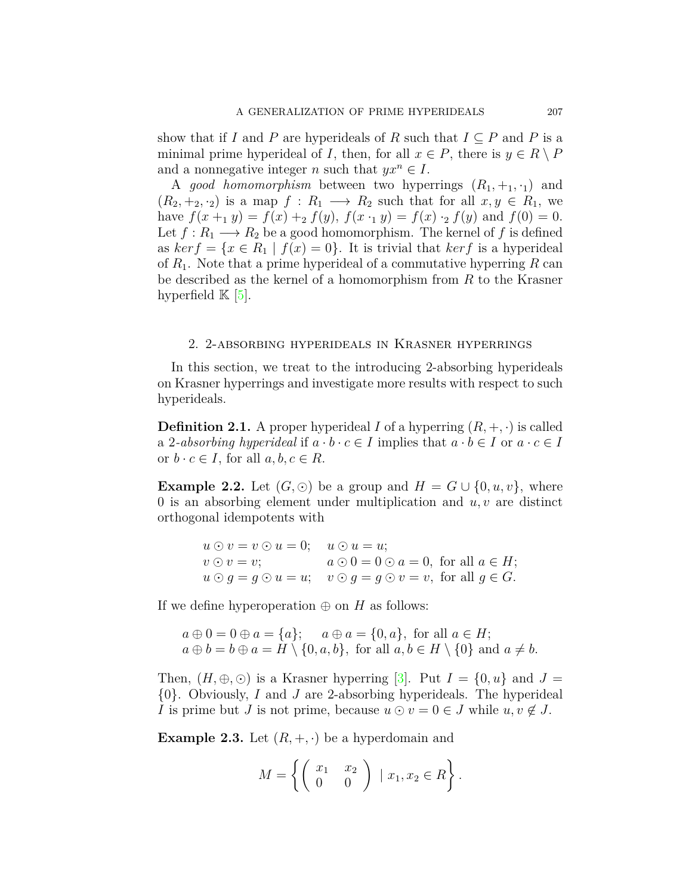show that if *I* and *P* are hyperideals of *R* such that  $I \subseteq P$  and *P* is a minimal prime hyperideal of *I*, then, for all  $x \in P$ , there is  $y \in R \setminus P$ and a nonnegative integer *n* such that  $yx^n \in I$ .

A *good homomorphism* between two hyperrings  $(R_1, +_1, \cdot_1)$  and  $(R_2, +_2, \cdot_2)$  is a map  $f: R_1 \longrightarrow R_2$  such that for all  $x, y \in R_1$ , we have  $f(x + y) = f(x) + 2 f(y)$ ,  $f(x \cdot y) = f(x) \cdot 2 f(y)$  and  $f(0) = 0$ . Let  $f: R_1 \longrightarrow R_2$  be a good homomorphism. The kernel of f is defined as  $ker f = \{x \in R_1 \mid f(x) = 0\}$ . It is trivial that  $ker f$  is a hyperideal of *R*1. Note that a prime hyperideal of a commutative hyperring *R* can be described as the kernel of a homomorphism from *R* to the Krasner hyperfield  $\mathbb{K}$  |5|.

### 2. 2-absorbing hyperideals in Krasner hyperrings

In this section, we treat to the introducing 2-absorbing hyperideals on Krasner hyperrings and investigate more results with respect to such hyperideals.

**Definition 2.1.** A proper hyperideal *I* of a hyperring  $(R, +, \cdot)$  is called a 2-absorbing hyperideal if  $a \cdot b \cdot c \in I$  implies that  $a \cdot b \in I$  or  $a \cdot c \in I$ or  $b \cdot c \in I$ , for all  $a, b, c \in R$ .

**Example 2.2.** Let  $(G, \odot)$  be a group and  $H = G \cup \{0, u, v\}$ , where 0 is an absorbing element under multiplication and *u, v* are distinct orthogonal idempotents with

$$
u \odot v = v \odot u = 0; \quad u \odot u = u;
$$
  
\n
$$
v \odot v = v; \quad a \odot 0 = 0 \odot a = 0, \text{ for all } a \in H;
$$
  
\n
$$
u \odot g = g \odot u = u; \quad v \odot g = g \odot v = v, \text{ for all } g \in G.
$$

If we define hyperoperation  $\oplus$  on *H* as follows:

 $a \oplus 0 = 0 \oplus a = \{a\}; \quad a \oplus a = \{0, a\}, \text{ for all } a \in H;$  $a \oplus b = b \oplus a = H \setminus \{0, a, b\}$ , for all  $a, b \in H \setminus \{0\}$  and  $a \neq b$ .

Then,  $(H, \oplus, \odot)$  is a Krasner hyperring [[3\]](#page-10-2). Put  $I = \{0, u\}$  and  $J =$ *{*0*}*. Obviously, *I* and *J* are 2-absorbing hyperideals. The hyperideal *I* is prime but *J* is not prime, because  $u \odot v = 0 \in J$  while  $u, v \notin J$ .

**Example 2.3.** Let  $(R, +, \cdot)$  be a hyperdomain and

$$
M = \left\{ \left( \begin{array}{cc} x_1 & x_2 \\ 0 & 0 \end{array} \right) \mid x_1, x_2 \in R \right\}.
$$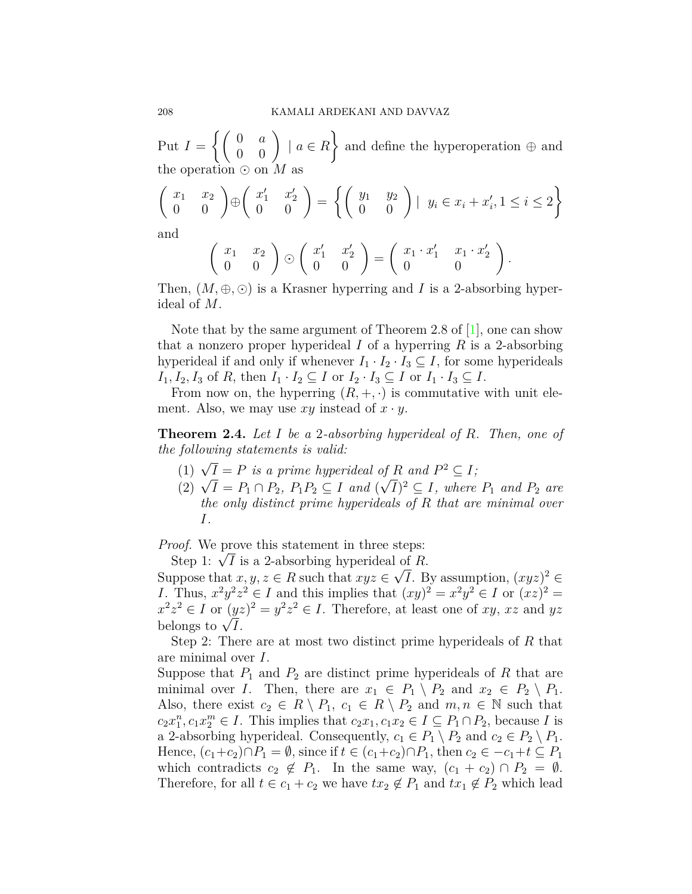Put  $I = \left\{ \begin{pmatrix} 0 & a \\ 0 & 0 \end{pmatrix} \mid a \in R \right\}$  $\mathcal{L}$ and define the hyperoperation *⊕* and the operation *⊙* on *M* as

$$
\begin{pmatrix} x_1 & x_2 \\ 0 & 0 \end{pmatrix} \oplus \begin{pmatrix} x_1' & x_2' \\ 0 & 0 \end{pmatrix} = \left\{ \begin{pmatrix} y_1 & y_2 \\ 0 & 0 \end{pmatrix} \middle| y_i \in x_i + x_i', 1 \leq i \leq 2 \right\}
$$

and

$$
\left(\begin{array}{cc} x_1 & x_2 \\ 0 & 0 \end{array}\right) \odot \left(\begin{array}{cc} x'_1 & x'_2 \\ 0 & 0 \end{array}\right) = \left(\begin{array}{cc} x_1 \cdot x'_1 & x_1 \cdot x'_2 \\ 0 & 0 \end{array}\right).
$$

Then,  $(M, \oplus, \odot)$  is a Krasner hyperring and *I* is a 2-absorbing hyperideal of *M*.

Note that by the same argument of Theorem 2.8 of [[1](#page-10-1)], one can show that a nonzero proper hyperideal *I* of a hyperring *R* is a 2-absorbing hyperideal if and only if whenever  $I_1 \cdot I_2 \cdot I_3 \subseteq I$ , for some hyperideals  $I_1, I_2, I_3$  of *R*, then  $I_1 \cdot I_2 \subseteq I$  or  $I_2 \cdot I_3 \subseteq I$  or  $I_1 \cdot I_3 \subseteq I$ .

From now on, the hyperring  $(R, +, \cdot)$  is commutative with unit element. Also, we may use  $xy$  instead of  $x \cdot y$ .

<span id="page-3-0"></span>**Theorem 2.4.** *Let I be a* 2*-absorbing hyperideal of R. Then, one of the following statements is valid:*

- (1)  $\sqrt{I} = P$  *is a prime hyperideal of R and*  $P^2 \subseteq I$ ;
- (1)  $\sqrt{I} = P_1 \cap P_2$ ,  $P_1 P_2 \subseteq I$  and  $(\sqrt{I})^2 \subseteq I$ , where  $P_1$  and  $P_2$  are<br>(2)  $\sqrt{I} = P_1 \cap P_2$ ,  $P_1 P_2 \subseteq I$  and  $(\sqrt{I})^2 \subseteq I$ , where  $P_1$  and  $P_2$  are *the only distinct prime hyperideals of R that are minimal over I.*

*Proof.* We prove this statement in three steps:

Step 1:  $\sqrt{I}$  is a 2-absorbing hyperideal of *R*.

Suppose that  $x, y, z \in R$  such that  $xyz \in \sqrt{I}$ . By assumption,  $(xyz)^2 \in$ *I*. Thus,  $x^2y^2z^2 \in I$  and this implies that  $(xy)^2 = x^2y^2 \in I$  or  $(xz)^2 = I$  $x^2z^2 \in I$  or  $(yz)^2 = y^2z^2 \in I$ . Therefore, at least one of *xy*, *xz* and *yz*  $x \, z \in I$  or  $\sqrt{I}$ .<br>belongs to  $\sqrt{I}$ .

Step 2: There are at most two distinct prime hyperideals of *R* that are minimal over *I*.

Suppose that  $P_1$  and  $P_2$  are distinct prime hyperideals of  $R$  that are minimal over *I*. Then, there are  $x_1 \in P_1 \setminus P_2$  and  $x_2 \in P_2 \setminus P_1$ . Also, there exist  $c_2 \in R \setminus P_1$ ,  $c_1 \in R \setminus P_2$  and  $m, n \in \mathbb{N}$  such that  $c_2 x_1^n, c_1 x_2^m \in I$ . This implies that  $c_2 x_1, c_1 x_2 \in I \subseteq P_1 \cap P_2$ , because *I* is a 2-absorbing hyperideal. Consequently,  $c_1 \in P_1 \setminus P_2$  and  $c_2 \in P_2 \setminus P_1$ . Hence,  $(c_1+c_2) \cap P_1 = \emptyset$ , since if  $t \in (c_1+c_2) \cap P_1$ , then  $c_2 \in -c_1+t \subseteq P_1$ which contradicts  $c_2 \notin P_1$ . In the same way,  $(c_1 + c_2) \cap P_2 = \emptyset$ . Therefore, for all  $t \in c_1 + c_2$  we have  $tx_2 \notin P_1$  and  $tx_1 \notin P_2$  which lead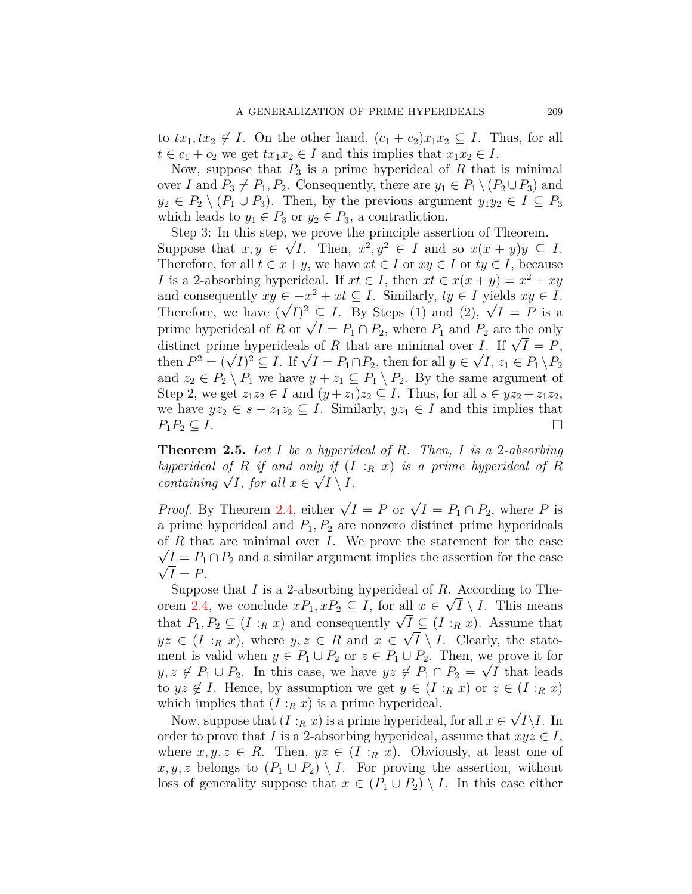to  $tx_1, tx_2 \notin I$ . On the other hand,  $(c_1 + c_2)x_1x_2 \subseteq I$ . Thus, for all  $t \in c_1 + c_2$  we get  $tx_1x_2 \in I$  and this implies that  $x_1x_2 \in I$ .

Now, suppose that  $P_3$  is a prime hyperideal of  $R$  that is minimal over *I* and  $P_3 \neq P_1, P_2$ . Consequently, there are  $y_1 \in P_1 \setminus (P_2 \cup P_3)$  and  $y_2 \in P_2 \setminus (P_1 \cup P_3)$ . Then, by the previous argument  $y_1 y_2 \in I \subseteq P_3$ which leads to  $y_1 \in P_3$  or  $y_2 \in P_3$ , a contradiction.

Step 3: In this step, we prove the principle assertion of Theorem. *√* Suppose that  $x, y \in \sqrt{I}$ . Then,  $x^2, y^2 \in I$  and so  $x(x + y)y \subseteq I$ . Therefore, for all  $t \in x + y$ , we have  $xt \in I$  or  $xy \in I$  or  $ty \in I$ , because *I* is a 2-absorbing hyperideal. If  $xt \in I$ , then  $xt \in x(x + y) = x^2 + xy$ and consequently  $xy \in -x^2 + xt \subseteq I$ . Similarly,  $ty \in I$  yields  $xy \in I$ . and consequently  $xy \in -x^2 + xt \subseteq I$ . Similarly,  $ty \in I$  yields  $xy \in I$ .<br>Therefore, we have  $(\sqrt{I})^2 \subseteq I$ . By Steps (1) and (2),  $\sqrt{I} = P$  is a prime hyperideal of *R* or  $\sqrt{I} = P_1 \cap P_2$ , where  $P_1$  and  $P_2$  are the only brime hyperideal of *R* or  $\sqrt{I} = P_1 \sqcup P_2$ , where  $P_1$  and  $P_2$  are the only distinct prime hyperideals of *R* that are minimal over *I*. If  $\sqrt{I} = P$ , distinct prime nyperideals of *R* that are minimal over *I*. If  $\sqrt{I} = P$ ,<br>then  $P^2 = (\sqrt{I})^2 \subseteq I$ . If  $\sqrt{I} = P_1 \cap P_2$ , then for all  $y \in \sqrt{I}$ ,  $z_1 \in P_1 \setminus P_2$ and  $z_2 \in P_2 \setminus P_1$  we have  $y + z_1 \subseteq P_1 \setminus P_2$ . By the same argument of Step 2, we get  $z_1z_2 \in I$  and  $(y+z_1)z_2 \subseteq I$ . Thus, for all  $s \in yz_2 + z_1z_2$ , we have  $yz_2 \in s - z_1z_2 \subseteq I$ . Similarly,  $yz_1 \in I$  and this implies that  $P_1P_2 \subseteq I$ .

<span id="page-4-0"></span>**Theorem 2.5.** *Let I be a hyperideal of R. Then, I is a* 2*-absorbing hyperideal of R if and only if*  $(I : R \ x)$  *is a prime hyperideal of R containing*  $\sqrt{I}$ *, for all*  $x \in \sqrt{I} \setminus I$ *.* 

*Proof.* By Theorem [2.4](#page-3-0), either  $\sqrt{I} = P$  or  $\sqrt{I} = P_1 \cap P_2$ , where *P* is a prime hyperideal and  $P_1, P_2$  are nonzero distinct prime hyperideals of *R* that are minimal over *I*. We prove the statement for the case  $\sqrt{I} = P_1 \cap P_2$  and a similar argument implies the assertion for the case  $\sqrt{I} = P$ .

Suppose that *I* is a 2-absorbing hyperideal of *R*. According to The-orem [2.4](#page-3-0), we conclude  $xP_1, xP_2 \subseteq I$ , for all  $x \in \sqrt{I} \setminus I$ . This means that  $P_1, P_2 \subseteq (I : R \mid x)$  and consequently  $\sqrt{I} \subseteq (I : R \mid x)$ . Assume that  $yz \in (I : R x)$ , where  $y, z \in R$  and  $x \in \sqrt{I} \setminus I$ . Clearly, the statement is valid when  $y \in P_1 \cup P_2$  or  $z \in P_1 \cup P_2$ . Then, we prove it for *y, z*  $\notin$  *P*<sub>1</sub> ∪ *P*<sub>2</sub>. In this case, we have *yz*  $\notin$  *P*<sub>1</sub> ∩ *P*<sub>2</sub> =  $\sqrt{I}$  that leads to  $yz \notin I$ . Hence, by assumption we get  $y \in (I : R x)$  or  $z \in (I : R x)$ which implies that  $(I:_{R} x)$  is a prime hyperideal. *√*

Now, suppose that  $(I:_{R} x)$  is a prime hyperideal, for all  $x \in$ *I\I*. In order to prove that *I* is a 2-absorbing hyperideal, assume that  $xyz \in I$ , where  $x, y, z \in R$ . Then,  $yz \in (I : R x)$ . Obviously, at least one of  $x, y, z$  belongs to  $(P_1 \cup P_2) \setminus I$ . For proving the assertion, without loss of generality suppose that  $x \in (P_1 \cup P_2) \setminus I$ . In this case either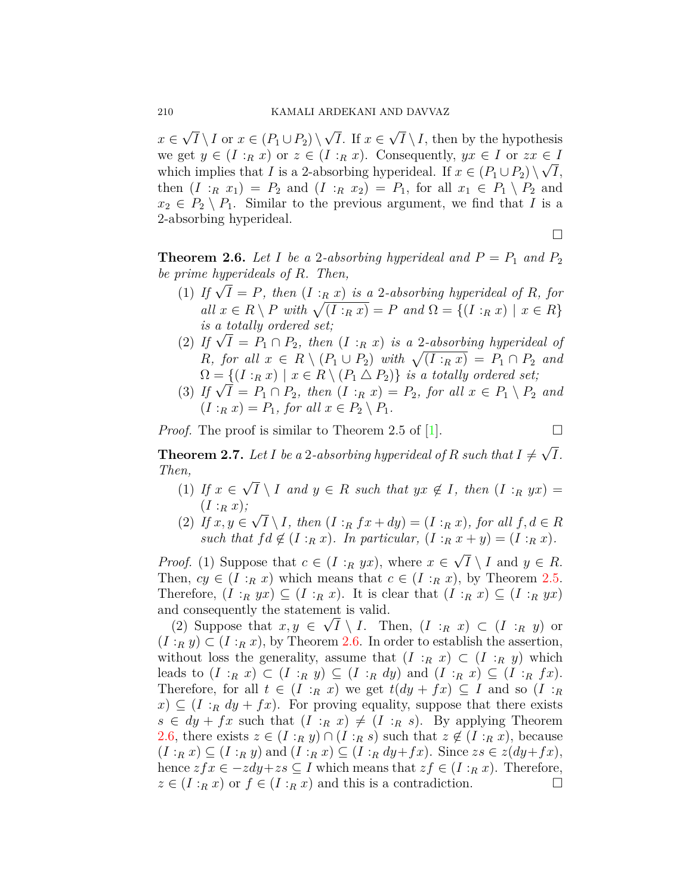*x ∈ √*  $I \setminus I$  or  $x \in (P_1 \cup P_2) \setminus$ *√ I*. If *x ∈ √*  $I \setminus I$ , then by the hypothesis we get  $y \in (I : R x)$  or  $z \in (I : R x)$ . Consequently,  $yx \in I$  or  $zx \in I$ which implies that *I* is a 2-absorbing hyperideal. If  $x \in (P_1 \cup P_2) \setminus \sqrt{I}$ , then  $(I : R x_1) = P_2$  and  $(I : R x_2) = P_1$ , for all  $x_1 \in P_1 \setminus P_2$  and  $x_2 \in P_2 \setminus P_1$ . Similar to the previous argument, we find that *I* is a 2-absorbing hyperideal.

□

<span id="page-5-0"></span>**Theorem 2.6.** Let I be a 2-absorbing hyperideal and  $P = P_1$  and  $P_2$ *be prime hyperideals of R. Then,*

- (1) If  $\sqrt{I} = P$ , then  $(I :_R x)$  is a 2-absorbing hyperideal of R, for  $all \ x \in R \setminus P \ with \ \sqrt{(I : R \ x)} = P \ and \ \Omega = \{(I : R \ x) \mid x \in R\}$ *is a totally ordered set;*
- (2) If  $\sqrt{I} = P_1 \cap P_2$ , then  $(I :_R x)$  is a 2-absorbing hyperideal of *R, for all*  $x \in R \setminus (P_1 \cup P_2)$  *with*  $\sqrt{(I : R x)} = P_1 \cap P_2$  *and*  $\Omega = \{ (I : R \mid X) \mid x \in R \setminus (P_1 \bigtriangleup P_2) \}$  *is a totally ordered set;*
- (3) If  $\sqrt{I} = P_1 \cap P_2$ , then  $(I : R x) = P_2$ , for all  $x \in P_1 \setminus P_2$  and  $(I:_{R} x) = P_{1}$ , for all  $x \in P_{2} \setminus P_{1}$ .

*Proof.* The proof is similar to Theorem 2.5 of  $[1]$ .

**Theorem 2.7.** Let  $I$  be a 2-absorbing hyperideal of  $R$  such that  $I \neq I$ *√ I. Then, √*

- (1) *If x ∈*  $I \setminus I$  *and*  $y \in R$  *such that*  $yx \notin I$ *, then*  $(I :_R yx) =$  $(I:_{R} x);$ *√*
- (2) *If x, y ∈*  $I \setminus I$ *, then*  $(I : R \text{ } f \text{ } x + dy) = (I : R \text{ } x)$ *, for all*  $f, d \in R$ *such that*  $fd \notin (I : R x)$ *. In particular,*  $(I : R x + y) = (I : R x)$ *.*

*Proof.* (1) Suppose that  $c \in (I : R yx)$ , where  $x \in$ *√*  $I \setminus I$  and  $y \in R$ . Then,  $cy \in (I : R x)$  which means that  $c \in (I : R x)$ , by Theorem [2.5.](#page-4-0) Therefore,  $(I:_{R} yx) \subseteq (I:_{R} x)$ . It is clear that  $(I:_{R} x) \subseteq (I:_{R} yx)$ and consequently the statement is valid. *√*

(2) Suppose that  $x, y \in \sqrt{I} \setminus I$ . Then,  $(I : R x) \subset (I : R y)$  or  $(I:_{R} y) \subset (I:_{R} x)$ , by Theorem [2.6.](#page-5-0) In order to establish the assertion, without loss the generality, assume that  $(I : R x) \subset (I : R y)$  which leads to  $(I:_{R} x) \subset (I:_{R} y) \subseteq (I:_{R} dy)$  and  $(I:_{R} x) \subseteq (I:_{R} fx)$ . Therefore, for all  $t \in (I : R \mid x)$  we get  $t(dy + fx) \subseteq I$  and so  $(I : R \mid x)$  $f(x) \subseteq (I : R dy + fx)$ . For proving equality, suppose that there exists  $s \in dy + fx$  such that  $(I : R x) \neq (I : R s)$ . By applying Theorem [2.6](#page-5-0), there exists  $z \in (I : R y) \cap (I : R s)$  such that  $z \notin (I : R x)$ , because  $(I:_{R} x) \subseteq (I:_{R} y)$  and  $(I:_{R} x) \subseteq (I:_{R} dy+fx)$ . Since  $zs \in z(dy+fx)$ , hence  $zfx \in -zdy+zs \subseteq I$  which means that  $zf \in (I:_{R} x)$ . Therefore,  $z \in (I : R x)$  or  $f \in (I : R x)$  and this is a contradiction.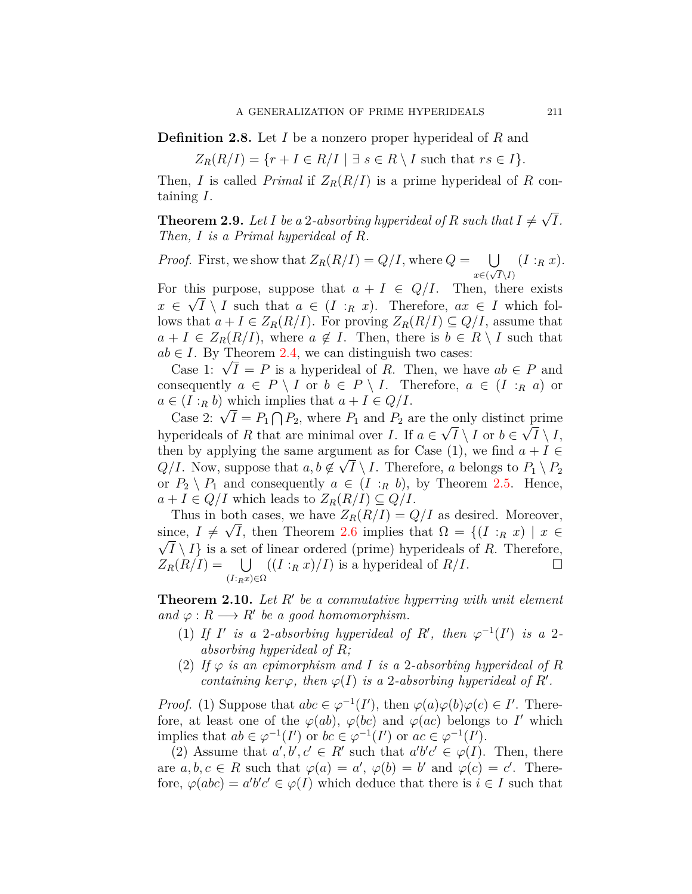**Definition 2.8.** Let *I* be a nonzero proper hyperideal of *R* and

 $Z_R(R/I) = \{r + I \in R/I \mid \exists s \in R \setminus I \text{ such that } rs \in I\}.$ 

Then, *I* is called *Primal* if  $Z_R(R/I)$  is a prime hyperideal of R containing *I*.

**Theorem 2.9.** Let  $I$  be a 2-absorbing hyperideal of  $R$  such that  $I \neq I$ *√ I. Then, I is a Primal hyperideal of R.*

*Proof.* First, we show that  $Z_R(R/I) = Q/I$ , where  $Q = \bigcup$ *x∈*( *√ I\I*)  $(I:_{R}x).$ 

For this purpose, suppose that  $a + I \in Q/I$ . Then, there exists  $x \in \sqrt{I} \setminus I$  such that  $a \in (I : R x)$ . Therefore,  $ax \in I$  which follows that  $a + I \in Z_R(R/I)$ . For proving  $Z_R(R/I) \subseteq Q/I$ , assume that  $a + I \in Z_R(R/I)$ , where  $a \notin I$ . Then, there is  $b \in R \setminus I$  such that  $ab \in I$ . By Theorem [2.4,](#page-3-0) we can distinguish two cases:

Case 1: *<sup>√</sup> I* = *P* is a hyperideal of *R*. Then, we have *ab ∈ P* and consequently  $a \in P \setminus I$  or  $b \in P \setminus I$ . Therefore,  $a \in (I : R a)$  or  $a \in (I : R b)$  which implies that  $a + I \in Q/I$ .

 $C = (I : R \cup N)$  which implies that  $u + I \in Q/I$ .<br>  $C$ ase 2:  $\sqrt{I} = P_1 \cap P_2$ , where  $P_1$  and  $P_2$  are the only distinct prime hyperideals of *R* that are minimal over *I*. If  $a \in \sqrt{I} \setminus I$  or  $b \in \sqrt{I} \setminus I$ , then by applying the same argument as for Case (1), we find  $a + I \in$  $Q/I$ . Now, suppose that  $a, b \notin \sqrt{I} \setminus I$ . Therefore, *a* belongs to  $P_1 \setminus P_2$ or  $P_2 \setminus P_1$  and consequently  $a \in (I : R b)$ , by Theorem [2.5.](#page-4-0) Hence,  $a + I \in Q/I$  which leads to  $Z_R(R/I) \subseteq Q/I$ .

Thus in both cases, we have  $Z_R(R/I) = Q/I$  as desired. Moreover, since,  $I \neq \sqrt{I}$ , then Theorem [2.6](#page-5-0) implies that  $\Omega = \{ (I : R \mid X) \mid x \in \overline{R} \}$  $\sqrt{I}\setminus I$  is a set of linear ordered (prime) hyperideals of *R*. Therefore,  $Z_R(R/I) = \bigcup \left( (I : R x)/I \right)$  is a hyperideal of  $R/I$ . □ (*I*:*Rx*)*∈*Ω

<span id="page-6-0"></span>**Theorem 2.10.** *Let R′ be a commutative hyperring with unit element*  $and \varphi: R \longrightarrow R'$  *be a good homomorphism.* 

- (1) If *I'* is a 2-absorbing hyperideal of *R'*, then  $\varphi^{-1}(I')$  is a 2*absorbing hyperideal of R;*
- (2) If  $\varphi$  *is an epimorphism and I is a* 2*-absorbing hyperideal of R containing*  $\ker \varphi$ *, then*  $\varphi(I)$  *is a* 2*-absorbing hyperideal of R<sup><i>'*</sup></sup>.

*Proof.* (1) Suppose that  $abc \in \varphi^{-1}(I')$ , then  $\varphi(a)\varphi(b)\varphi(c) \in I'$ . Therefore, at least one of the  $\varphi(ab)$ ,  $\varphi(bc)$  and  $\varphi(ac)$  belongs to *I'* which implies that  $ab \in \varphi^{-1}(I')$  or  $bc \in \varphi^{-1}(I')$  or  $ac \in \varphi^{-1}(I').$ 

(2) Assume that  $a', b', c' \in R'$  such that  $a'b'c' \in \varphi(I)$ . Then, there are  $a, b, c \in R$  such that  $\varphi(a) = a', \varphi(b) = b'$  and  $\varphi(c) = c'$ . Therefore,  $\varphi(abc) = a'b'c' \in \varphi(I)$  which deduce that there is  $i \in I$  such that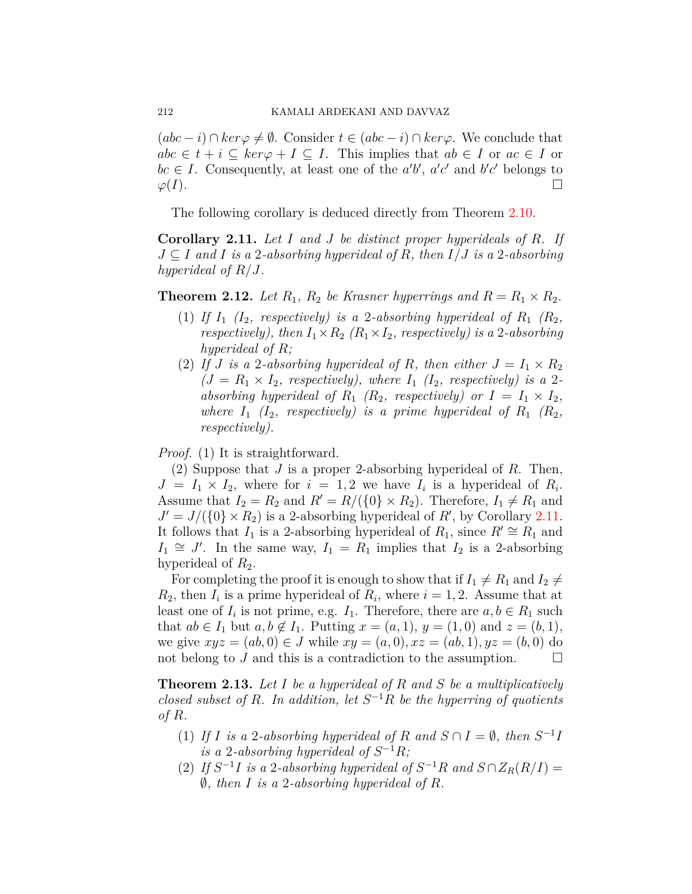$(ac - i)$  ∩  $ker \varphi \neq \emptyset$ . Consider  $t \in (abc - i)$  ∩  $ker \varphi$ . We conclude that  $abc \in t + i \subseteq ker\varphi + I \subseteq I$ . This implies that  $ab \in I$  or  $ac \in I$  or  $bc \in I$ . Consequently, at least one of the *a'b'*, *a'c'* and *b'c'* belongs to  $\varphi(I)$ .

The following corollary is deduced directly from Theorem [2.10](#page-6-0).

<span id="page-7-0"></span>**Corollary 2.11.** *Let I and J be distinct proper hyperideals of R. If J ⊆ I and I is a* 2*-absorbing hyperideal of R, then I/J is a* 2*-absorbing hyperideal of R/J.*

**Theorem 2.12.** *Let*  $R_1$ *,*  $R_2$  *be Krasner hyperrings and*  $R = R_1 \times R_2$ *.* 

- (1) If  $I_1$  ( $I_2$ , respectively) is a 2-absorbing hyperideal of  $R_1$  ( $R_2$ ), *respectively), then*  $I_1 \times R_2$   $(R_1 \times I_2,$  *respectively) is a* 2*-absorbing hyperideal of R;*
- (2) If *J* is a 2-absorbing hyperideal of *R*, then either  $J = I_1 \times R_2$  $(J = R_1 \times I_2$ , respectively), where  $I_1$   $(I_2$ , respectively) is a 2*absorbing hyperideal of*  $R_1$   $(R_2$ *, respectively) or*  $I = I_1 \times I_2$ *, where*  $I_1$   $(I_2$ *, respectively) is a prime hyperideal of*  $R_1$   $(R_2$ *, respectively).*

*Proof.* (1) It is straightforward.

(2) Suppose that *J* is a proper 2-absorbing hyperideal of *R*. Then,  $J = I_1 \times I_2$ , where for  $i = 1, 2$  we have  $I_i$  is a hyperideal of  $R_i$ . Assume that  $I_2 = R_2$  and  $R' = R/(\{0\} \times R_2)$ . Therefore,  $I_1 \neq R_1$  and  $J' = J/(\{0\} \times R_2)$  is a 2-absorbing hyperideal of *R'*, by Corollary [2.11.](#page-7-0) It follows that  $I_1$  is a 2-absorbing hyperideal of  $R_1$ , since  $R' \cong R_1$  and *I*<sub>1</sub>  $\cong$  *J'*. In the same way, *I*<sub>1</sub> = *R*<sub>1</sub> implies that *I*<sub>2</sub> is a 2-absorbing hyperideal of  $R_2$ .

For completing the proof it is enough to show that if  $I_1 \neq R_1$  and  $I_2 \neq$  $R_2$ , then  $I_i$  is a prime hyperideal of  $R_i$ , where  $i = 1, 2$ . Assume that at least one of  $I_i$  is not prime, e.g.  $I_1$ . Therefore, there are  $a, b \in R_1$  such that *ab* ∈ *I*<sub>1</sub> but *a, b* ∉ *I*<sub>1</sub>. Putting *x* = (*a,* 1), *y* = (1, 0) and *z* = (*b,* 1), we give  $xyz = (ab, 0) \in J$  while  $xy = (a, 0), xz = (ab, 1), yz = (b, 0)$  do not belong to *J* and this is a contradiction to the assumption.  $\Box$ 

**Theorem 2.13.** *Let I be a hyperideal of R and S be a multiplicatively closed subset of*  $R$ *. In addition, let*  $S^{-1}R$  *be the hyperring of quotients of R.*

- (1) If *I* is a 2-absorbing hyperideal of *R* and  $S \cap I = \emptyset$ , then  $S^{-1}I$ *is a* 2-absorbing hyperideal of  $S^{-1}R$ *;*
- (2) If  $S^{-1}I$  is a 2-absorbing hyperideal of  $S^{-1}R$  and  $S \cap Z_R(R/I) =$ *∅, then I is a* 2*-absorbing hyperideal of R.*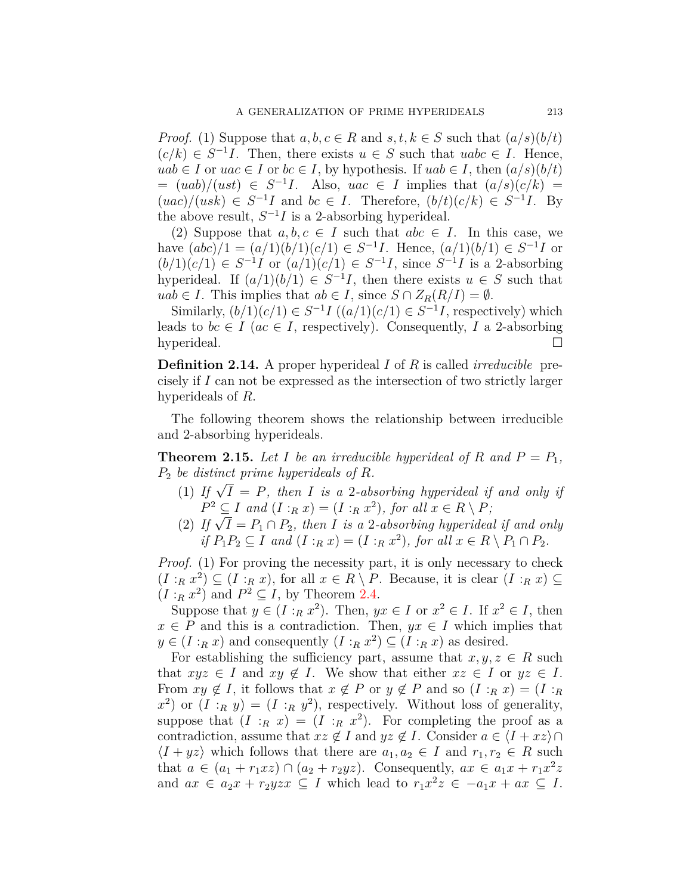*Proof.* (1) Suppose that  $a, b, c \in R$  and  $s, t, k \in S$  such that  $(a/s)(b/t)$  $(c/k) \in S^{-1}I$ . Then, there exists  $u \in S$  such that  $uabc \in I$ . Hence, *uab*  $∈$  *I* or *uac*  $∈$  *I* or *bc*  $∈$  *I*, by hypothesis. If *uab*  $∈$  *I*, then  $(a/s)(b/t)$  $= (uab)/(ust) \in S^{-1}I$ . Also,  $uac \in I$  implies that  $(a/s)(c/k) =$  $(uc)/(usk) \in S^{-1}I$  and  $bc \in I$ . Therefore,  $(b/t)(c/k) \in S^{-1}I$ . By the above result,  $S^{-1}I$  is a 2-absorbing hyperideal.

(2) Suppose that  $a, b, c \in I$  such that  $abc \in I$ . In this case, we have  $(abc)/1 = (a/1)(b/1)(c/1) \in S^{-1}I$ . Hence,  $(a/1)(b/1) \in S^{-1}I$  or  $(b/1)(c/1) \in S^{-1}I$  or  $(a/1)(c/1) \in S^{-1}I$ , since  $S^{-1}I$  is a 2-absorbing hyperideal. If  $(a/1)(b/1) \in S^{-1}I$ , then there exists  $u \in S$  such that *uab*  $∈$  *I*. This implies that  $ab ∈ I$ , since  $S ∩ Z_R(R/I) = ∅$ .

Similarly,  $(b/1)(c/1) \in S^{-1}I$   $((a/1)(c/1) \in S^{-1}I$ , respectively) which leads to  $bc \in I$  ( $ac \in I$ , respectively). Consequently, *I* a 2-absorbing hyperideal. □

**Definition 2.14.** A proper hyperideal *I* of *R* is called *irreducible* precisely if *I* can not be expressed as the intersection of two strictly larger hyperideals of *R*.

The following theorem shows the relationship between irreducible and 2-absorbing hyperideals.

**Theorem 2.15.** Let *I* be an irreducible hyperideal of *R* and  $P = P_1$ , *P*<sup>2</sup> *be distinct prime hyperideals of R.*

- (1) If  $\sqrt{I} = P$ , then *I* is a 2-absorbing hyperideal if and only if  $P^2 \subseteq I$  *and*  $(I : R^2) = (I : R^2)$ *, for all*  $x \in R \setminus P$ *;*
- $P \subseteq I$  and  $(I : R X) = (I : R X)$ , for all  $X \in R \setminus P$ ;<br>
(2) If  $\sqrt{I} = P_1 \cap P_2$ , then *I* is a 2-absorbing hyperideal if and only *if*  $P_1P_2 \subseteq I$  *and*  $(I : R x) = (I : R x^2)$ *, for all*  $x \in R \setminus P_1 \cap P_2$ *.*

*Proof.* (1) For proving the necessity part, it is only necessary to check  $(I:_{R} x^{2}) \subseteq (I:_{R} x)$ , for all  $x \in R \setminus P$ . Because, it is clear  $(I:_{R} x) \subseteq$  $(I:_{R} x^{2})$  and  $P^{2} \subseteq I$ , by Theorem [2.4](#page-3-0).

Suppose that  $y \in (I : R \mathbb{Z}^2)$ . Then,  $yx \in I$  or  $x^2 \in I$ . If  $x^2 \in I$ , then  $x \in P$  and this is a contradiction. Then,  $yx \in I$  which implies that  $y \in (I : R x)$  and consequently  $(I : R x^2) \subseteq (I : R x)$  as desired.

For establishing the sufficiency part, assume that  $x, y, z \in R$  such that  $xyz \in I$  and  $xy \notin I$ . We show that either  $xz \in I$  or  $yz \in I$ . From  $xy \notin I$ , it follows that  $x \notin P$  or  $y \notin P$  and so  $(I : R x) = (I : R x)$  $x^2$ ) or  $(I : R y) = (I : R y^2)$ , respectively. Without loss of generality, suppose that  $(I : R x) = (I : R x^2)$ . For completing the proof as a contradiction, assume that  $xz \notin I$  and  $yz \notin I$ . Consider  $a \in \langle I + xz \rangle \cap I$  $\langle I + yz \rangle$  which follows that there are  $a_1, a_2 \in I$  and  $r_1, r_2 \in R$  such that  $a \in (a_1 + r_1 x z) \cap (a_2 + r_2 y z)$ . Consequently,  $ax \in a_1 x + r_1 x^2 z$ and  $ax \in a_2x + r_2yzx \subseteq I$  which lead to  $r_1x^2z \in -a_1x + ax \subseteq I$ .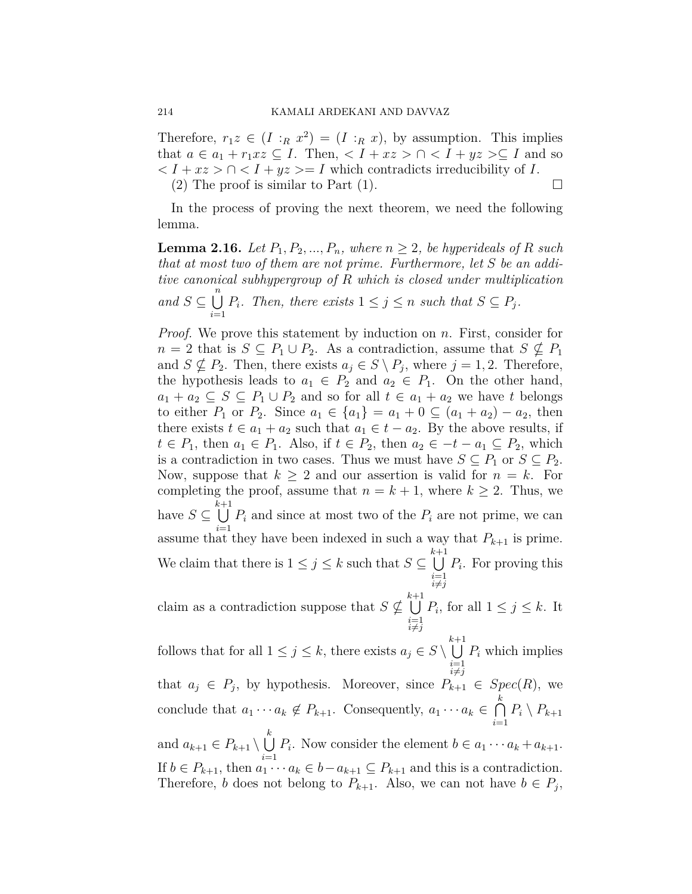Therefore,  $r_1z \in (I : R x^2) = (I : R x)$ , by assumption. This implies that  $a \in a_1 + r_1 x z \subseteq I$ . Then,  $\langle I + x z \rangle \cap \langle I + y z \rangle \subseteq I$  and so  $\langle I + xz \rangle \cap \langle I + yz \rangle = I$  which contradicts irreducibility of *I*. (2) The proof is similar to Part (1).  $\Box$ 

In the process of proving the next theorem, we need the following lemma.

<span id="page-9-0"></span>**Lemma 2.16.** *Let*  $P_1, P_2, ..., P_n$ *, where*  $n \geq 2$ *, be hyperideals of*  $R$  *such that at most two of them are not prime. Furthermore, let S be an additive canonical subhypergroup of R which is closed under multiplication*  $and$  *S*  $\subseteq$   $\bigcup^{n}$ *i*=1 *P*<sup>*i*</sup>. Then, there exists  $1 \leq j \leq n$  *such that*  $S \subseteq P_j$ *.* 

*Proof.* We prove this statement by induction on *n*. First, consider for *n* = 2 that is *S* ⊆ *P*<sub>1</sub> *∪ P*<sub>2</sub>. As a contradiction, assume that *S* ⊈ *P*<sub>1</sub> and  $S \nsubseteq P_2$ . Then, there exists  $a_j \in S \setminus P_j$ , where  $j = 1, 2$ . Therefore, the hypothesis leads to  $a_1 \in P_2$  and  $a_2 \in P_1$ . On the other hand, *a*<sub>1</sub> + *a*<sub>2</sub> ⊆ *S* ⊆ *P*<sub>1</sub> ∪ *P*<sub>2</sub> and so for all *t* ∈ *a*<sub>1</sub> + *a*<sub>2</sub> we have *t* belongs to either  $P_1$  or  $P_2$ . Since  $a_1 \in \{a_1\} = a_1 + 0 \subseteq (a_1 + a_2) - a_2$ , then there exists  $t \in a_1 + a_2$  such that  $a_1 \in t - a_2$ . By the above results, if  $t \in P_1$ , then  $a_1 \in P_1$ . Also, if  $t \in P_2$ , then  $a_2 \in -t - a_1 \subseteq P_2$ , which is a contradiction in two cases. Thus we must have  $S \subseteq P_1$  or  $S \subseteq P_2$ . Now, suppose that  $k \geq 2$  and our assertion is valid for  $n = k$ . For completing the proof, assume that  $n = k + 1$ , where  $k \geq 2$ . Thus, we have  $S \subseteq \bigcup^{k+1}$ *i*=1  $P_i$  and since at most two of the  $P_i$  are not prime, we can assume that they have been indexed in such a way that  $P_{k+1}$  is prime. We claim that there is  $1 \leq j \leq k$  such that  $S \subseteq \bigcup^{k+1}$  $i=1 \atop i \neq j$ *Pi* . For proving this

claim as a contradiction suppose that  $S \nsubseteq \bigcup^{k+1}$  $i=1 \atop i \neq j$  $P_i$ , for all  $1 \leq j \leq k$ . It

follows that for all  $1 \leq j \leq k$ , there exists  $a_j \in S \setminus \bigcup^{k+1}$  $i=1 \atop i \neq j$ *P<sup>i</sup>* which implies that  $a_j \in P_j$ , by hypothesis. Moreover, since  $P_{k+1} \in Spec(R)$ , we conclude that  $a_1 \cdots a_k \notin P_{k+1}$ . Consequently,  $a_1 \cdots a_k \in \bigcap^k P_k$ *i*=1  $P_i \setminus P_{k+1}$ and  $a_{k+1} \in P_{k+1} \setminus \bigcup^{k}$ *i*=1 *P*<sub>*i*</sub>. Now consider the element  $b \in a_1 \cdots a_k + a_{k+1}$ . If  $b \in P_{k+1}$ , then  $a_1 \cdots a_k \in b - a_{k+1} \subseteq P_{k+1}$  and this is a contradiction. Therefore, *b* does not belong to  $P_{k+1}$ . Also, we can not have  $b \in P_j$ ,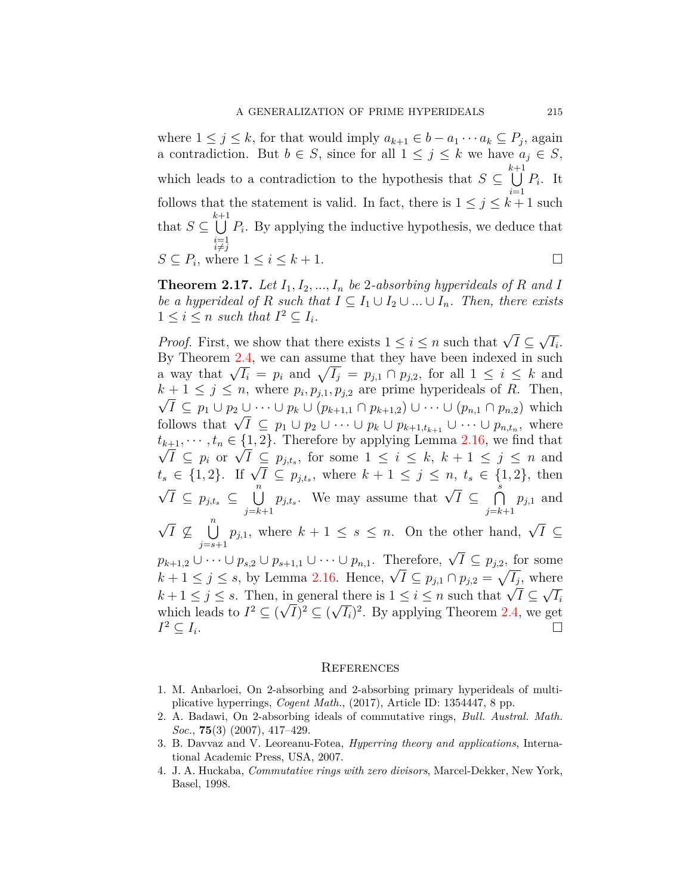where  $1 \leq j \leq k$ , for that would imply  $a_{k+1} \in b - a_1 \cdots a_k \subseteq P_j$ , again a contradiction. But  $b \in S$ , since for all  $1 \leq j \leq k$  we have  $a_j \in S$ , which leads to a contradiction to the hypothesis that  $S \subseteq \bigcup^{k+1}$ *i*=1 *Pi* . It follows that the statement is valid. In fact, there is  $1 \leq j \leq k+1$  such that  $S \subseteq \bigcup^{k+1}$ *i*=1 *i*≠*j Pi* . By applying the inductive hypothesis, we deduce that  $S \subseteq P_i$ , where  $1 \leq i \leq k+1$ .

**Theorem 2.17.** Let  $I_1, I_2, ..., I_n$  be 2*-absorbing hyperideals of*  $R$  *and*  $I$ *be a hyperideal of*  $R$  *such that*  $I \subseteq I_1 \cup I_2 \cup ... \cup I_n$ *. Then, there exists*  $1 \leq i \leq n$  such that  $I^2 \subseteq I_i$ .

*Proof.* First, we show that there exists  $1 \leq i \leq n$  such that  $\sqrt{I} \subseteq$ *√ Ii* . By Theorem [2.4,](#page-3-0) we can assume that they have been indexed in such a way that  $\sqrt{I_i} = p_i$  and  $\sqrt{I_j} = p_{j,1} \cap p_{j,2}$ , for all  $1 \leq i \leq k$  and  $k + 1 \leq j \leq n$ , where  $p_i, p_{j,1}, p_{j,2}$  are prime hyperideals of *R*. Then,  $\sqrt{I} \subseteq p_1 \cup p_2 \cup \cdots \cup p_k \cup (p_{k+1,1} \cap p_{k+1,2}) \cup \cdots \cup (p_{n,1} \cap p_{n,2})$  which  $V I \subseteq p_1 \cup p_2 \cup \cdots \cup p_k \cup (p_{k+1,1} \cup p_{k+1,2}) \cup \cdots \cup (p_{n,1} \cup p_{n,2})$  which<br>follows that  $\sqrt{I} \subseteq p_1 \cup p_2 \cup \cdots \cup p_k \cup p_{k+1,t_{k+1}} \cup \cdots \cup p_{n,t_n}$ , where  $t_{k+1}, \dots, t_n \in \{1, 2\}$ . Therefore by applying Lemma [2.16](#page-9-0), we find that  $u_{k+1}, \dots, u_n \in \{1, 2\}$ . Therefore by applying Lemma 2.10, we find that<br>  $\sqrt{I} \subseteq p_i$  or  $\sqrt{I} \subseteq p_{j,t_s}$ , for some  $1 \le i \le k, k+1 \le j \le n$  and<br>  $t_s \in \{1, 2\}$ . If  $\sqrt{I} \subseteq p_{j,t_s}$ , where  $k+1 \le j \le n$ ,  $t_s \in \{1, 2\}$ , then *√*  $\overline{I} \subseteq p_{j,t_s} \subseteq \bigcup^n$ *j*=*k*+1  $p_{j,t_s}$ . We may assume that  $\sqrt{I} \subseteq \bigcap_{s=1}^{s}$ *j*=*k*+1 *pj,*<sup>1</sup> and *√ I ̸⊆* ∪*n j*=*s*+1 *p*<sub>*j*,1</sub>, where  $k + 1 \leq s \leq n$ . On the other hand,  $\sqrt{I} \subseteq$ *p*<sub>*k*+1,2</sub> ∪ · · · ∪ *p*<sub>*s*,2</sub> ∪ *p*<sub>*s*+1,1</sub> ∪ · · · ∪ *p*<sub>*n*,1</sub>. Therefore,  $\sqrt{I} \subseteq p_{j,2}$ , for some  $p_{k+1,2} \cup \cdots \cup p_{s,2} \cup p_{s+1,1} \cup \cdots \cup p_{n,1}$ . Therefore,  $\sqrt{I} \subseteq p_{j,2}$ , for some  $k+1 \leq j \leq s$ , by Lemma [2.16](#page-9-0). Hence,  $\sqrt{I} \subseteq p_{j,1} \cap p_{j,2} = \sqrt{I_j}$ , where  $k + 1 \leq j \leq s$ , by Lemma 2.10. Thence,  $\forall i \leq p_{j,1} + p_{j,2} - \sqrt{i_j}$ , where<br>  $k + 1 \leq j \leq s$ . Then, in general there is  $1 \leq i \leq n$  such that  $\sqrt{I} \subseteq \sqrt{I_i}$  $\kappa + 1 \leq j \leq s$ . Then, in general which leads to  $I^2 \subseteq (\sqrt{I})^2 \subseteq (\sqrt{I})$  $\overline{I}_i$ <sup>2</sup>. By applying Theorem [2.4,](#page-3-0) we get  $I^2 \subseteq I_i$ . □

#### **REFERENCES**

- <span id="page-10-1"></span>1. M. Anbarloei, On 2-absorbing and 2-absorbing primary hyperideals of multiplicative hyperrings, *Cogent Math.*, (2017), Article ID: 1354447, 8 pp.
- <span id="page-10-0"></span>2. A. Badawi, On 2-absorbing ideals of commutative rings, *Bull. Austral. Math. Soc.*, **75**(3) (2007), 417–429.
- <span id="page-10-2"></span>3. B. Davvaz and V. Leoreanu-Fotea, *Hyperring theory and applications*, International Academic Press, USA, 2007.
- <span id="page-10-3"></span>4. J. A. Huckaba, *Commutative rings with zero divisors*, Marcel-Dekker, New York, Basel, 1998.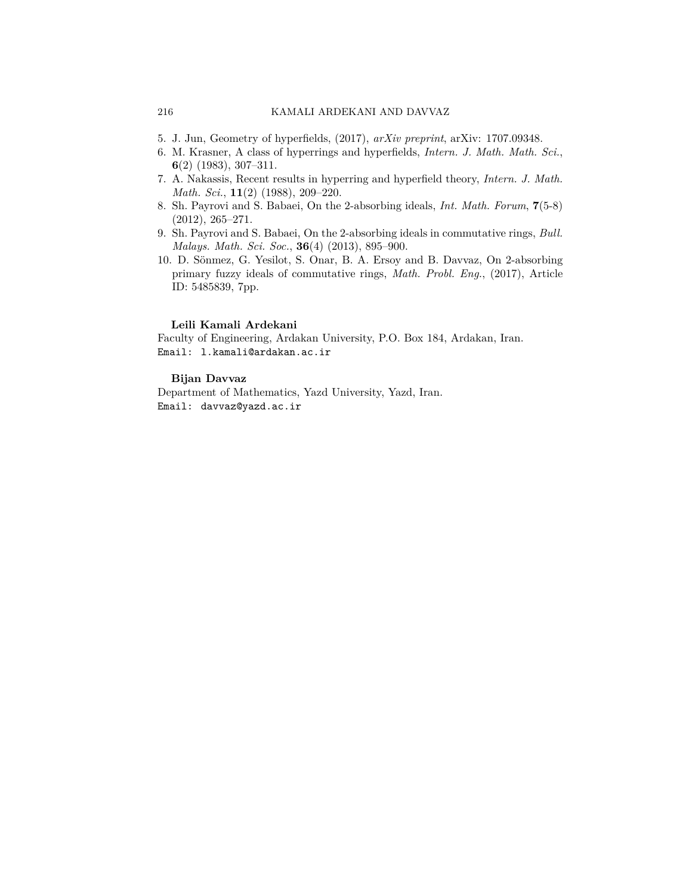- <span id="page-11-5"></span>5. J. Jun, Geometry of hyperfields, (2017), *arXiv preprint*, arXiv: 1707.09348.
- <span id="page-11-4"></span>6. M. Krasner, A class of hyperrings and hyperfields, *Intern. J. Math. Math. Sci.*, **6**(2) (1983), 307–311.
- <span id="page-11-3"></span>7. A. Nakassis, Recent results in hyperring and hyperfield theory, *Intern. J. Math. Math. Sci.*, **11**(2) (1988), 209–220.
- <span id="page-11-0"></span>8. Sh. Payrovi and S. Babaei, On the 2-absorbing ideals, *Int. Math. Forum*, **7**(5-8) (2012), 265–271.
- <span id="page-11-1"></span>9. Sh. Payrovi and S. Babaei, On the 2-absorbing ideals in commutative rings, *Bull. Malays. Math. Sci. Soc.*, **36**(4) (2013), 895–900.
- <span id="page-11-2"></span>10. D. Sönmez, G. Yesilot, S. Onar, B. A. Ersoy and B. Davvaz, On 2-absorbing primary fuzzy ideals of commutative rings, *Math. Probl. Eng.*, (2017), Article ID: 5485839, 7pp.

#### **Leili Kamali Ardekani**

Faculty of Engineering, Ardakan University, P.O. Box 184, Ardakan, Iran. Email: l.kamali@ardakan.ac.ir

#### **Bijan Davvaz**

Department of Mathematics, Yazd University, Yazd, Iran. Email: davvaz@yazd.ac.ir